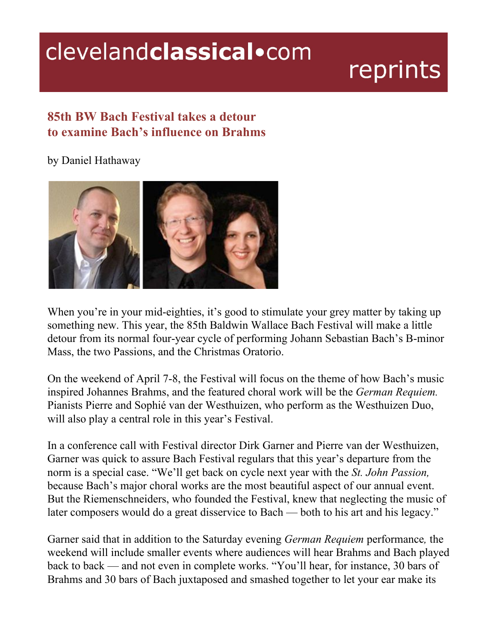## clevelandclassical.com

## reprints

## **85th BW Bach Festival takes a detour to examine Bach's influence on Brahms**

## by Daniel Hathaway



When you're in your mid-eighties, it's good to stimulate your grey matter by taking up something new. This year, the 85th Baldwin Wallace Bach Festival will make a little detour from its normal four-year cycle of performing Johann Sebastian Bach's B-minor Mass, the two Passions, and the Christmas Oratorio.

On the weekend of April 7-8, the Festival will focus on the theme of how Bach's music inspired Johannes Brahms, and the featured choral work will be the *German Requiem.* Pianists Pierre and Sophié van der Westhuizen, who perform as the Westhuizen Duo, will also play a central role in this year's Festival.

In a conference call with Festival director Dirk Garner and Pierre van der Westhuizen, Garner was quick to assure Bach Festival regulars that this year's departure from the norm is a special case. "We'll get back on cycle next year with the *St. John Passion,* because Bach's major choral works are the most beautiful aspect of our annual event. But the Riemenschneiders, who founded the Festival, knew that neglecting the music of later composers would do a great disservice to Bach — both to his art and his legacy."

Garner said that in addition to the Saturday evening *German Requiem* performance*,* the weekend will include smaller events where audiences will hear Brahms and Bach played back to back — and not even in complete works. "You'll hear, for instance, 30 bars of Brahms and 30 bars of Bach juxtaposed and smashed together to let your ear make its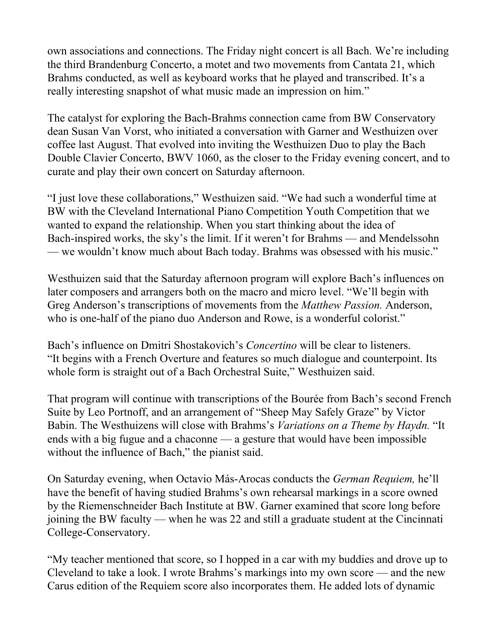own associations and connections. The Friday night concert is all Bach. We're including the third Brandenburg Concerto, a motet and two movements from Cantata 21, which Brahms conducted, as well as keyboard works that he played and transcribed. It's a really interesting snapshot of what music made an impression on him."

The catalyst for exploring the Bach-Brahms connection came from BW Conservatory dean Susan Van Vorst, who initiated a conversation with Garner and Westhuizen over coffee last August. That evolved into inviting the Westhuizen Duo to play the Bach Double Clavier Concerto, BWV 1060, as the closer to the Friday evening concert, and to curate and play their own concert on Saturday afternoon.

"I just love these collaborations," Westhuizen said. "We had such a wonderful time at BW with the Cleveland International Piano Competition Youth Competition that we wanted to expand the relationship. When you start thinking about the idea of Bach-inspired works, the sky's the limit. If it weren't for Brahms — and Mendelssohn — we wouldn't know much about Bach today. Brahms was obsessed with his music."

Westhuizen said that the Saturday afternoon program will explore Bach's influences on later composers and arrangers both on the macro and micro level. "We'll begin with Greg Anderson's transcriptions of movements from the *Matthew Passion.* Anderson, who is one-half of the piano duo Anderson and Rowe, is a wonderful colorist."

Bach's influence on Dmitri Shostakovich's *Concertino* will be clear to listeners. "It begins with a French Overture and features so much dialogue and counterpoint. Its whole form is straight out of a Bach Orchestral Suite," Westhuizen said.

That program will continue with transcriptions of the Bourée from Bach's second French Suite by Leo Portnoff, and an arrangement of "Sheep May Safely Graze" by Victor Babin. The Westhuizens will close with Brahms's *Variations on a Theme by Haydn.* "It ends with a big fugue and a chaconne — a gesture that would have been impossible without the influence of Bach," the pianist said.

On Saturday evening, when Octavio Más-Arocas conducts the *German Requiem,* he'll have the benefit of having studied Brahms's own rehearsal markings in a score owned by the Riemenschneider Bach Institute at BW. Garner examined that score long before joining the BW faculty — when he was 22 and still a graduate student at the Cincinnati College-Conservatory.

"My teacher mentioned that score, so I hopped in a car with my buddies and drove up to Cleveland to take a look. I wrote Brahms's markings into my own score — and the new Carus edition of the Requiem score also incorporates them. He added lots of dynamic